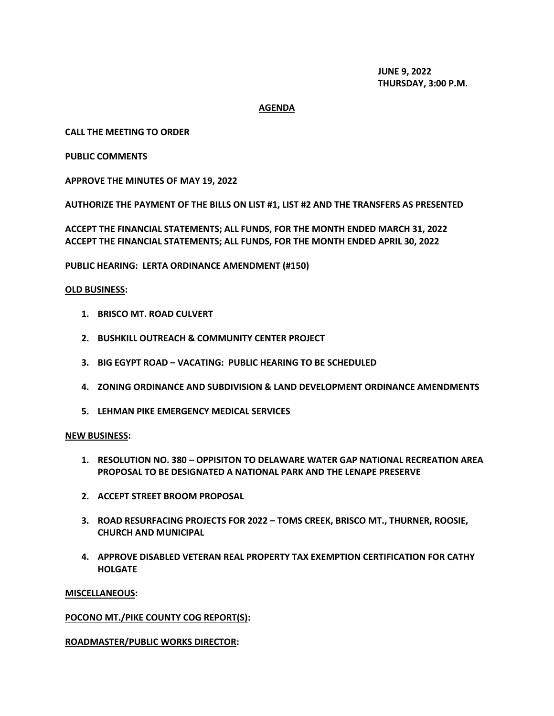**JUNE 9, 2022 THURSDAY, 3:00 P.M.**

## **AGENDA**

## **CALL THE MEETING TO ORDER**

## **PUBLIC COMMENTS**

**APPROVE THE MINUTES OF MAY 19, 2022**

**AUTHORIZE THE PAYMENT OF THE BILLS ON LIST #1, LIST #2 AND THE TRANSFERS AS PRESENTED**

**ACCEPT THE FINANCIAL STATEMENTS; ALL FUNDS, FOR THE MONTH ENDED MARCH 31, 2022 ACCEPT THE FINANCIAL STATEMENTS; ALL FUNDS, FOR THE MONTH ENDED APRIL 30, 2022**

**PUBLIC HEARING: LERTA ORDINANCE AMENDMENT (#150)**

## **OLD BUSINESS:**

- **1. BRISCO MT. ROAD CULVERT**
- **2. BUSHKILL OUTREACH & COMMUNITY CENTER PROJECT**
- **3. BIG EGYPT ROAD – VACATING: PUBLIC HEARING TO BE SCHEDULED**
- **4. ZONING ORDINANCE AND SUBDIVISION & LAND DEVELOPMENT ORDINANCE AMENDMENTS**
- **5. LEHMAN PIKE EMERGENCY MEDICAL SERVICES**

#### **NEW BUSINESS:**

- **1. RESOLUTION NO. 380 – OPPISITON TO DELAWARE WATER GAP NATIONAL RECREATION AREA PROPOSAL TO BE DESIGNATED A NATIONAL PARK AND THE LENAPE PRESERVE**
- **2. ACCEPT STREET BROOM PROPOSAL**
- **3. ROAD RESURFACING PROJECTS FOR 2022 – TOMS CREEK, BRISCO MT., THURNER, ROOSIE, CHURCH AND MUNICIPAL**
- **4. APPROVE DISABLED VETERAN REAL PROPERTY TAX EXEMPTION CERTIFICATION FOR CATHY HOLGATE**

#### **MISCELLANEOUS:**

#### **POCONO MT./PIKE COUNTY COG REPORT(S):**

## **ROADMASTER/PUBLIC WORKS DIRECTOR:**